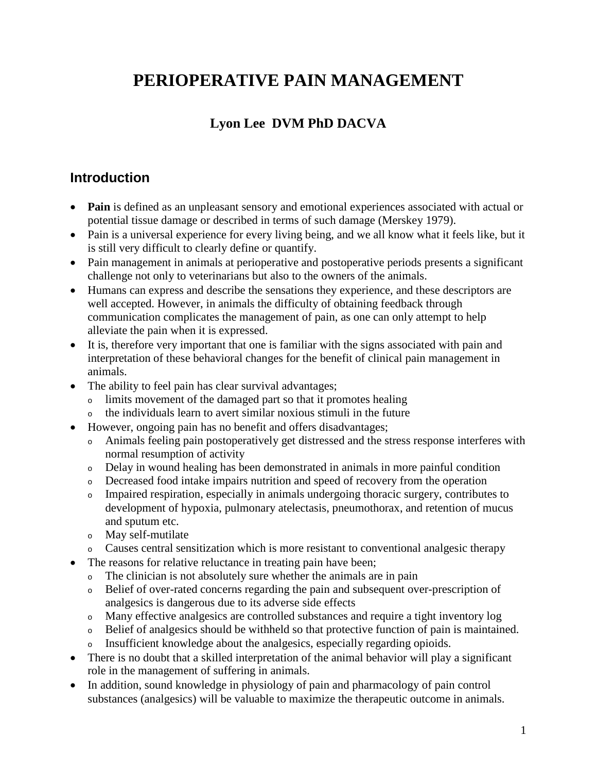# **PERIOPERATIVE PAIN MANAGEMENT**

## **Lyon Lee DVM PhD DACVA**

## **Introduction**

- **Pain** is defined as an unpleasant sensory and emotional experiences associated with actual or potential tissue damage or described in terms of such damage (Merskey 1979).
- Pain is a universal experience for every living being, and we all know what it feels like, but it is still very difficult to clearly define or quantify.
- Pain management in animals at perioperative and postoperative periods presents a significant challenge not only to veterinarians but also to the owners of the animals.
- Humans can express and describe the sensations they experience, and these descriptors are well accepted. However, in animals the difficulty of obtaining feedback through communication complicates the management of pain, as one can only attempt to help alleviate the pain when it is expressed.
- It is, therefore very important that one is familiar with the signs associated with pain and interpretation of these behavioral changes for the benefit of clinical pain management in animals.
- The ability to feel pain has clear survival advantages;
	- <sup>o</sup> limits movement of the damaged part so that it promotes healing
	- <sup>o</sup> the individuals learn to avert similar noxious stimuli in the future
- However, ongoing pain has no benefit and offers disadvantages;
	- <sup>o</sup> Animals feeling pain postoperatively get distressed and the stress response interferes with normal resumption of activity
	- <sup>o</sup> Delay in wound healing has been demonstrated in animals in more painful condition
	- <sup>o</sup> Decreased food intake impairs nutrition and speed of recovery from the operation
	- <sup>o</sup> Impaired respiration, especially in animals undergoing thoracic surgery, contributes to development of hypoxia, pulmonary atelectasis, pneumothorax, and retention of mucus and sputum etc.
	- <sup>o</sup> May self-mutilate
	- <sup>o</sup> Causes central sensitization which is more resistant to conventional analgesic therapy
- The reasons for relative reluctance in treating pain have been;
	- <sup>o</sup> The clinician is not absolutely sure whether the animals are in pain
	- <sup>o</sup> Belief of over-rated concerns regarding the pain and subsequent over-prescription of analgesics is dangerous due to its adverse side effects
	- <sup>o</sup> Many effective analgesics are controlled substances and require a tight inventory log
	- <sup>o</sup> Belief of analgesics should be withheld so that protective function of pain is maintained. <sup>o</sup> Insufficient knowledge about the analgesics, especially regarding opioids.
- There is no doubt that a skilled interpretation of the animal behavior will play a significant role in the management of suffering in animals.
- In addition, sound knowledge in physiology of pain and pharmacology of pain control substances (analgesics) will be valuable to maximize the therapeutic outcome in animals.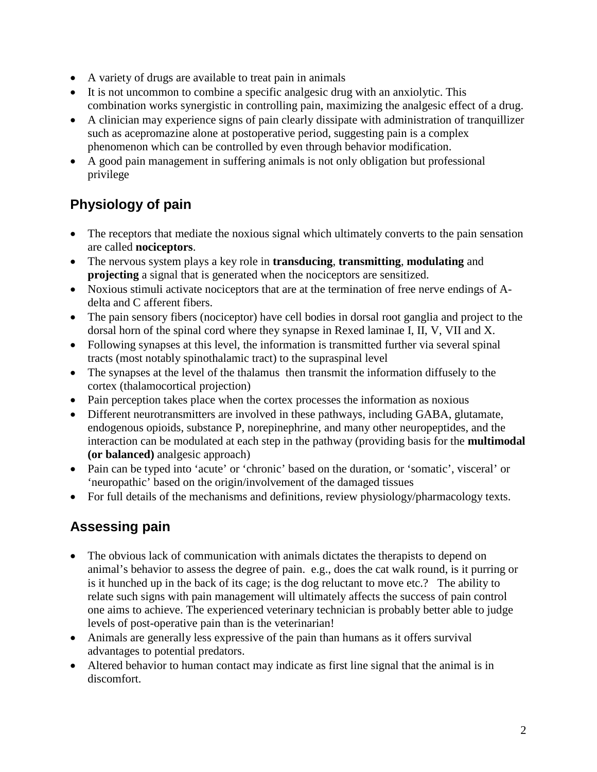- A variety of drugs are available to treat pain in animals
- It is not uncommon to combine a specific analgesic drug with an anxiolytic. This combination works synergistic in controlling pain, maximizing the analgesic effect of a drug.
- A clinician may experience signs of pain clearly dissipate with administration of tranquillizer such as acepromazine alone at postoperative period, suggesting pain is a complex phenomenon which can be controlled by even through behavior modification.
- A good pain management in suffering animals is not only obligation but professional privilege

## **Physiology of pain**

- The receptors that mediate the noxious signal which ultimately converts to the pain sensation are called **nociceptors**.
- The nervous system plays a key role in **transducing**, **transmitting**, **modulating** and **projecting** a signal that is generated when the nociceptors are sensitized.
- Noxious stimuli activate nociceptors that are at the termination of free nerve endings of Adelta and C afferent fibers.
- The pain sensory fibers (nociceptor) have cell bodies in dorsal root ganglia and project to the dorsal horn of the spinal cord where they synapse in Rexed laminae I, II, V, VII and X.
- Following synapses at this level, the information is transmitted further via several spinal tracts (most notably spinothalamic tract) to the supraspinal level
- The synapses at the level of the thalamus then transmit the information diffusely to the cortex (thalamocortical projection)
- Pain perception takes place when the cortex processes the information as noxious
- Different neurotransmitters are involved in these pathways, including GABA, glutamate, endogenous opioids, substance P, norepinephrine, and many other neuropeptides, and the interaction can be modulated at each step in the pathway (providing basis for the **multimodal (or balanced)** analgesic approach)
- Pain can be typed into 'acute' or 'chronic' based on the duration, or 'somatic', visceral' or 'neuropathic' based on the origin/involvement of the damaged tissues
- For full details of the mechanisms and definitions, review physiology/pharmacology texts.

## **Assessing pain**

- The obvious lack of communication with animals dictates the therapists to depend on animal's behavior to assess the degree of pain. e.g., does the cat walk round, is it purring or is it hunched up in the back of its cage; is the dog reluctant to move etc.? The ability to relate such signs with pain management will ultimately affects the success of pain control one aims to achieve. The experienced veterinary technician is probably better able to judge levels of post-operative pain than is the veterinarian!
- Animals are generally less expressive of the pain than humans as it offers survival advantages to potential predators.
- Altered behavior to human contact may indicate as first line signal that the animal is in discomfort.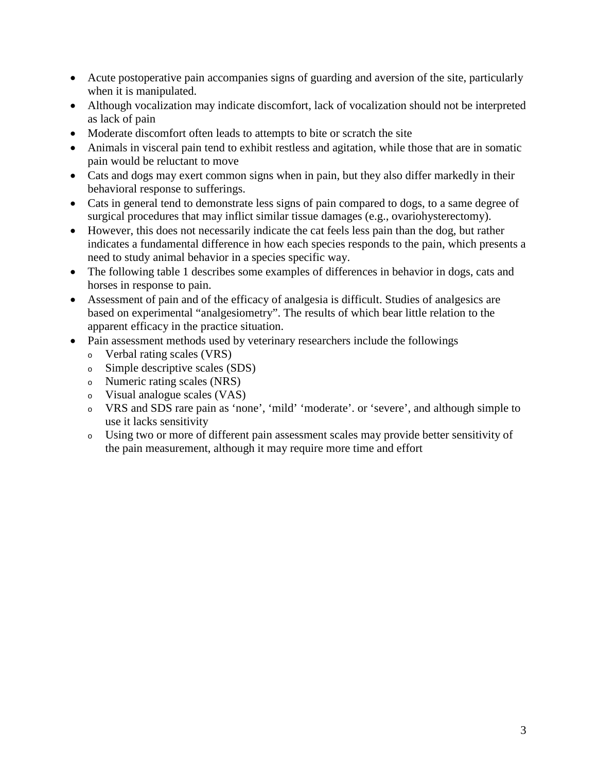- Acute postoperative pain accompanies signs of guarding and aversion of the site, particularly when it is manipulated.
- Although vocalization may indicate discomfort, lack of vocalization should not be interpreted as lack of pain
- Moderate discomfort often leads to attempts to bite or scratch the site
- Animals in visceral pain tend to exhibit restless and agitation, while those that are in somatic pain would be reluctant to move
- Cats and dogs may exert common signs when in pain, but they also differ markedly in their behavioral response to sufferings.
- Cats in general tend to demonstrate less signs of pain compared to dogs, to a same degree of surgical procedures that may inflict similar tissue damages (e.g., ovariohysterectomy).
- However, this does not necessarily indicate the cat feels less pain than the dog, but rather indicates a fundamental difference in how each species responds to the pain, which presents a need to study animal behavior in a species specific way.
- The following table 1 describes some examples of differences in behavior in dogs, cats and horses in response to pain.
- Assessment of pain and of the efficacy of analgesia is difficult. Studies of analgesics are based on experimental "analgesiometry". The results of which bear little relation to the apparent efficacy in the practice situation.
- Pain assessment methods used by veterinary researchers include the followings
	- <sup>o</sup> Verbal rating scales (VRS)
	- <sup>o</sup> Simple descriptive scales (SDS)
	- <sup>o</sup> Numeric rating scales (NRS)
	- <sup>o</sup> Visual analogue scales (VAS)
	- <sup>o</sup> VRS and SDS rare pain as 'none', 'mild' 'moderate'. or 'severe', and although simple to use it lacks sensitivity
	- <sup>o</sup> Using two or more of different pain assessment scales may provide better sensitivity of the pain measurement, although it may require more time and effort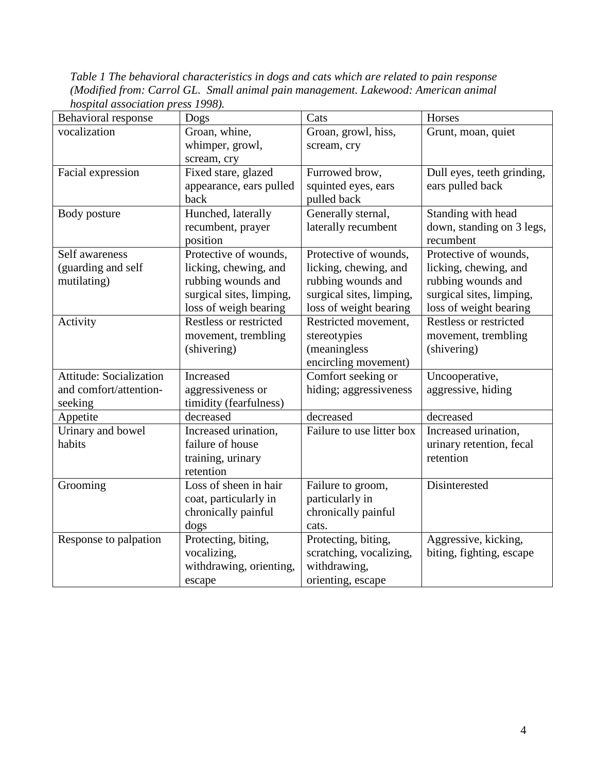*Table 1 The behavioral characteristics in dogs and cats which are related to pain response (Modified from: Carrol GL. Small animal pain management. Lakewood: American animal hospital association press 1998).*

| <b>Behavioral response</b>     | Dogs                          | Cats                      | Horses                        |
|--------------------------------|-------------------------------|---------------------------|-------------------------------|
| vocalization                   | Groan, whine,                 | Groan, growl, hiss,       | Grunt, moan, quiet            |
|                                | whimper, growl,               | scream, cry               |                               |
|                                | scream, cry                   |                           |                               |
| Facial expression              | Fixed stare, glazed           | Furrowed brow,            | Dull eyes, teeth grinding,    |
|                                | appearance, ears pulled       | squinted eyes, ears       | ears pulled back              |
|                                | back                          | pulled back               |                               |
| Body posture                   | Hunched, laterally            | Generally sternal,        | Standing with head            |
|                                | recumbent, prayer             | laterally recumbent       | down, standing on 3 legs,     |
|                                | position                      |                           | recumbent                     |
| Self awareness                 | Protective of wounds,         | Protective of wounds,     | Protective of wounds,         |
| (guarding and self             | licking, chewing, and         | licking, chewing, and     | licking, chewing, and         |
| mutilating)                    | rubbing wounds and            | rubbing wounds and        | rubbing wounds and            |
|                                | surgical sites, limping,      | surgical sites, limping,  | surgical sites, limping,      |
|                                | loss of weigh bearing         | loss of weight bearing    | loss of weight bearing        |
| Activity                       | <b>Restless or restricted</b> | Restricted movement,      | <b>Restless or restricted</b> |
|                                | movement, trembling           | stereotypies              | movement, trembling           |
|                                | (shivering)                   | (meaningless              | (shivering)                   |
|                                |                               | encircling movement)      |                               |
| <b>Attitude: Socialization</b> | Increased                     | Comfort seeking or        | Uncooperative,                |
| and comfort/attention-         | aggressiveness or             | hiding; aggressiveness    | aggressive, hiding            |
| seeking                        | timidity (fearfulness)        |                           |                               |
| Appetite                       | decreased                     | decreased                 | decreased                     |
| Urinary and bowel              | Increased urination,          | Failure to use litter box | Increased urination,          |
| habits                         | failure of house              |                           | urinary retention, fecal      |
|                                | training, urinary             |                           | retention                     |
|                                | retention                     |                           |                               |
| Grooming                       | Loss of sheen in hair         | Failure to groom,         | Disinterested                 |
|                                | coat, particularly in         | particularly in           |                               |
|                                | chronically painful           | chronically painful       |                               |
|                                | dogs                          | cats.                     |                               |
| Response to palpation          | Protecting, biting,           | Protecting, biting,       | Aggressive, kicking,          |
|                                | vocalizing,                   | scratching, vocalizing,   | biting, fighting, escape      |
|                                | withdrawing, orienting,       | withdrawing,              |                               |
|                                | escape                        | orienting, escape         |                               |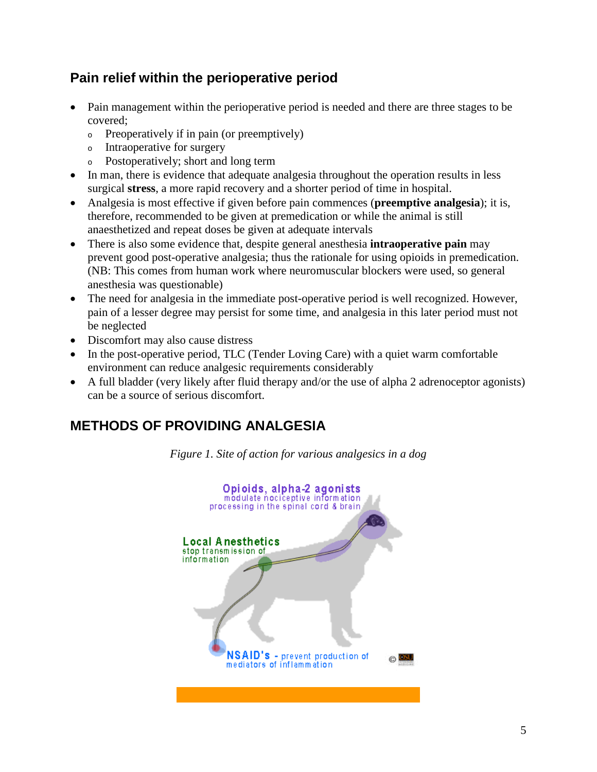### **Pain relief within the perioperative period**

- Pain management within the perioperative period is needed and there are three stages to be covered;
	- <sup>o</sup> Preoperatively if in pain (or preemptively)
	- <sup>o</sup> Intraoperative for surgery
	- <sup>o</sup> Postoperatively; short and long term
- In man, there is evidence that adequate analgesia throughout the operation results in less surgical **stress**, a more rapid recovery and a shorter period of time in hospital.
- Analgesia is most effective if given before pain commences (**preemptive analgesia**); it is, therefore, recommended to be given at premedication or while the animal is still anaesthetized and repeat doses be given at adequate intervals
- There is also some evidence that, despite general anesthesia **intraoperative pain** may prevent good post-operative analgesia; thus the rationale for using opioids in premedication. (NB: This comes from human work where neuromuscular blockers were used, so general anesthesia was questionable)
- The need for analgesia in the immediate post-operative period is well recognized. However, pain of a lesser degree may persist for some time, and analgesia in this later period must not be neglected
- Discomfort may also cause distress
- In the post-operative period, TLC (Tender Loving Care) with a quiet warm comfortable environment can reduce analgesic requirements considerably
- A full bladder (very likely after fluid therapy and/or the use of alpha 2 adrenoceptor agonists) can be a source of serious discomfort.

## **METHODS OF PROVIDING ANALGESIA**

*Figure 1. Site of action for various analgesics in a dog*

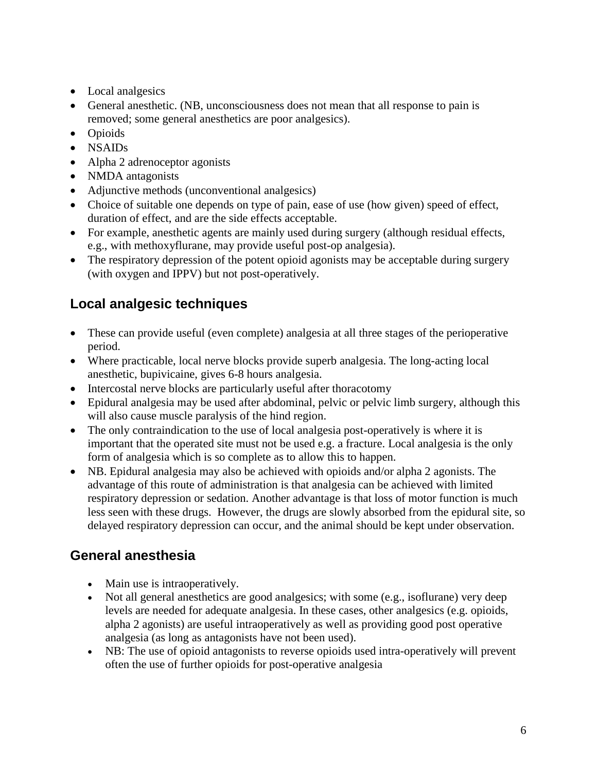- Local analgesics
- General anesthetic. (NB, unconsciousness does not mean that all response to pain is removed; some general anesthetics are poor analgesics).
- Opioids
- NSAIDs
- Alpha 2 adrenoceptor agonists
- NMDA antagonists
- Adjunctive methods (unconventional analgesics)
- Choice of suitable one depends on type of pain, ease of use (how given) speed of effect, duration of effect, and are the side effects acceptable.
- For example, anesthetic agents are mainly used during surgery (although residual effects, e.g., with methoxyflurane, may provide useful post-op analgesia).
- The respiratory depression of the potent opioid agonists may be acceptable during surgery (with oxygen and IPPV) but not post-operatively.

## **Local analgesic techniques**

- These can provide useful (even complete) analgesia at all three stages of the perioperative period.
- Where practicable, local nerve blocks provide superb analgesia. The long-acting local anesthetic, bupivicaine, gives 6-8 hours analgesia.
- Intercostal nerve blocks are particularly useful after thoracotomy
- Epidural analgesia may be used after abdominal, pelvic or pelvic limb surgery, although this will also cause muscle paralysis of the hind region.
- The only contraindication to the use of local analgesia post-operatively is where it is important that the operated site must not be used e.g. a fracture. Local analgesia is the only form of analgesia which is so complete as to allow this to happen.
- NB. Epidural analgesia may also be achieved with opioids and/or alpha 2 agonists. The advantage of this route of administration is that analgesia can be achieved with limited respiratory depression or sedation. Another advantage is that loss of motor function is much less seen with these drugs. However, the drugs are slowly absorbed from the epidural site, so delayed respiratory depression can occur, and the animal should be kept under observation.

## **General anesthesia**

- Main use is intraoperatively.
- Not all general anesthetics are good analgesics; with some (e.g., isoflurane) very deep levels are needed for adequate analgesia. In these cases, other analgesics (e.g. opioids, alpha 2 agonists) are useful intraoperatively as well as providing good post operative analgesia (as long as antagonists have not been used).
- NB: The use of opioid antagonists to reverse opioids used intra-operatively will prevent often the use of further opioids for post-operative analgesia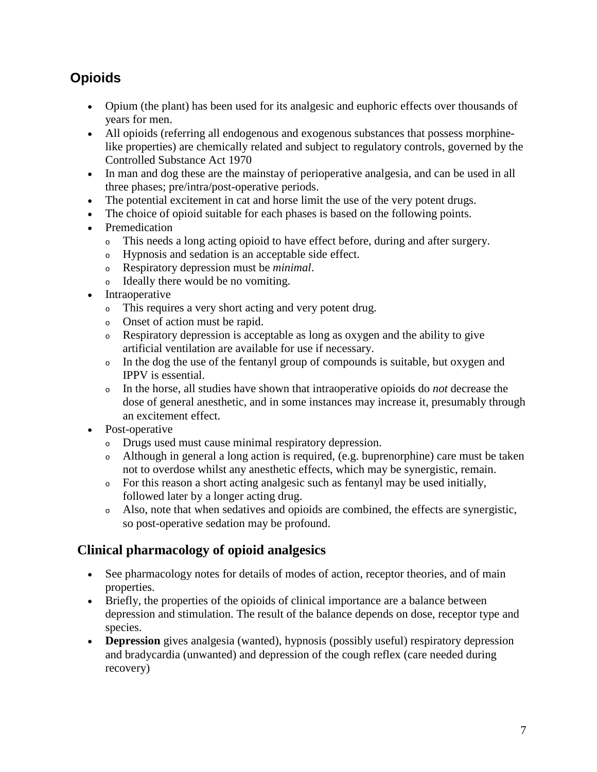## **Opioids**

- Opium (the plant) has been used for its analgesic and euphoric effects over thousands of years for men.
- All opioids (referring all endogenous and exogenous substances that possess morphinelike properties) are chemically related and subject to regulatory controls, governed by the Controlled Substance Act 1970
- In man and dog these are the mainstay of perioperative analgesia, and can be used in all three phases; pre/intra/post-operative periods.
- The potential excitement in cat and horse limit the use of the very potent drugs.
- The choice of opioid suitable for each phases is based on the following points.
- Premedication
	- <sup>o</sup> This needs a long acting opioid to have effect before, during and after surgery.
	- <sup>o</sup> Hypnosis and sedation is an acceptable side effect.
	- <sup>o</sup> Respiratory depression must be *minimal*.
	- <sup>o</sup> Ideally there would be no vomiting.
- **Intraoperative** 
	- <sup>o</sup> This requires a very short acting and very potent drug.
	- <sup>o</sup> Onset of action must be rapid.
	- <sup>o</sup> Respiratory depression is acceptable as long as oxygen and the ability to give artificial ventilation are available for use if necessary.
	- <sup>o</sup> In the dog the use of the fentanyl group of compounds is suitable, but oxygen and IPPV is essential.
	- <sup>o</sup> In the horse, all studies have shown that intraoperative opioids do *not* decrease the dose of general anesthetic, and in some instances may increase it, presumably through an excitement effect.
- Post-operative
	- <sup>o</sup> Drugs used must cause minimal respiratory depression.
	- <sup>o</sup> Although in general a long action is required, (e.g. buprenorphine) care must be taken not to overdose whilst any anesthetic effects, which may be synergistic, remain.
	- <sup>o</sup> For this reason a short acting analgesic such as fentanyl may be used initially, followed later by a longer acting drug.
	- <sup>o</sup> Also, note that when sedatives and opioids are combined, the effects are synergistic, so post-operative sedation may be profound.

### **Clinical pharmacology of opioid analgesics**

- See pharmacology notes for details of modes of action, receptor theories, and of main properties.
- Briefly, the properties of the opioids of clinical importance are a balance between depression and stimulation. The result of the balance depends on dose, receptor type and species.
- **Depression** gives analgesia (wanted), hypnosis (possibly useful) respiratory depression and bradycardia (unwanted) and depression of the cough reflex (care needed during recovery)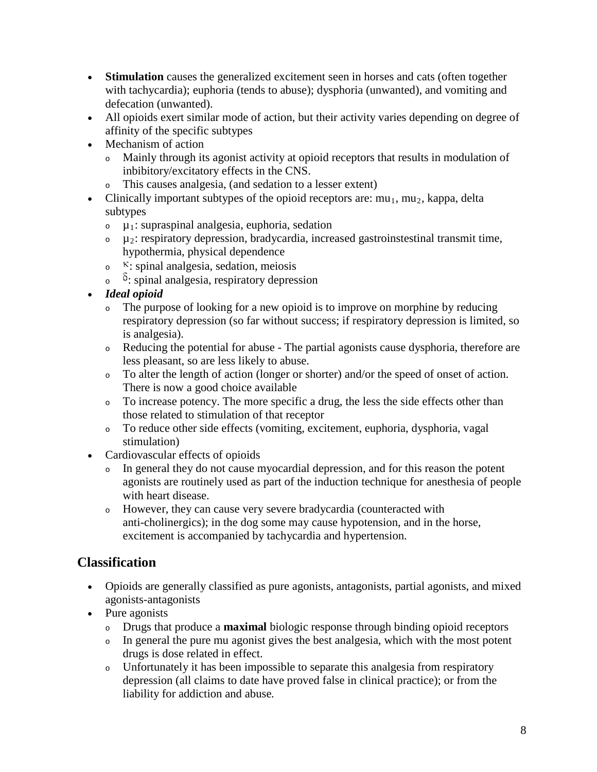- **Stimulation** causes the generalized excitement seen in horses and cats (often together with tachycardia); euphoria (tends to abuse); dysphoria (unwanted), and vomiting and defecation (unwanted).
- All opioids exert similar mode of action, but their activity varies depending on degree of affinity of the specific subtypes
- Mechanism of action
	- <sup>o</sup> Mainly through its agonist activity at opioid receptors that results in modulation of inbibitory/excitatory effects in the CNS.
	- This causes analgesia, (and sedation to a lesser extent)
- Clinically important subtypes of the opioid receptors are:  $mu_1$ ,  $mu_2$ , kappa, delta subtypes
	- $\circ$   $\mu_1$ : supraspinal analgesia, euphoria, sedation
	- $\varphi$   $\mu_2$ : respiratory depression, bradycardia, increased gastroinstestinal transmit time, hypothermia, physical dependence
	- <sup>6</sup>: spinal analgesia, sedation, meiosis
	- $\delta$ : spinal analgesia, respiratory depression
- *Ideal opioid* 
	- $\circ$  The purpose of looking for a new opioid is to improve on morphine by reducing respiratory depression (so far without success; if respiratory depression is limited, so is analgesia).
	- <sup>o</sup> Reducing the potential for abuse The partial agonists cause dysphoria, therefore are less pleasant, so are less likely to abuse.
	- <sup>o</sup> To alter the length of action (longer or shorter) and/or the speed of onset of action. There is now a good choice available
	- <sup>o</sup> To increase potency. The more specific a drug, the less the side effects other than those related to stimulation of that receptor
	- <sup>o</sup> To reduce other side effects (vomiting, excitement, euphoria, dysphoria, vagal stimulation)
- Cardiovascular effects of opioids
	- <sup>o</sup> In general they do not cause myocardial depression, and for this reason the potent agonists are routinely used as part of the induction technique for anesthesia of people with heart disease.
	- <sup>o</sup> However, they can cause very severe bradycardia (counteracted with anti-cholinergics); in the dog some may cause hypotension, and in the horse, excitement is accompanied by tachycardia and hypertension.

### **Classification**

- Opioids are generally classified as pure agonists, antagonists, partial agonists, and mixed agonists-antagonists
- Pure agonists
	- <sup>o</sup> Drugs that produce a **maximal** biologic response through binding opioid receptors
	- <sup>o</sup> In general the pure mu agonist gives the best analgesia, which with the most potent drugs is dose related in effect.
	- <sup>o</sup> Unfortunately it has been impossible to separate this analgesia from respiratory depression (all claims to date have proved false in clinical practice); or from the liability for addiction and abuse*.*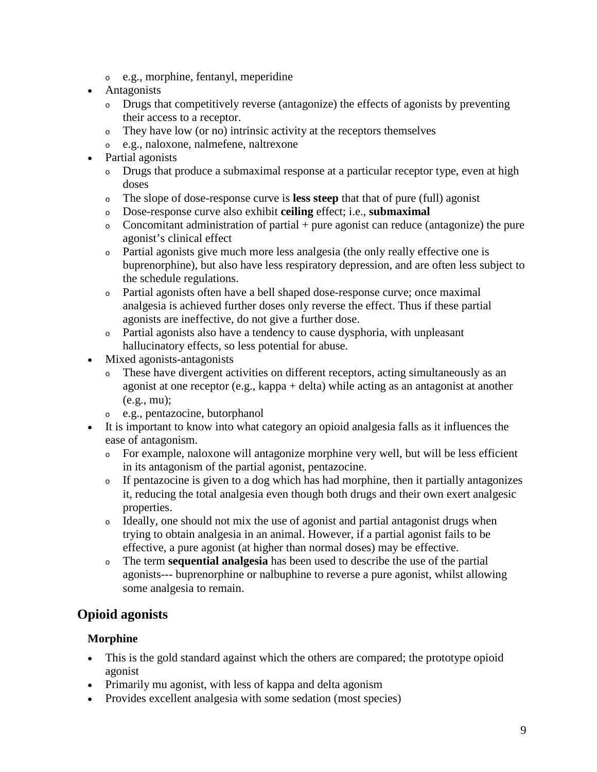- <sup>o</sup> e.g., morphine, fentanyl, meperidine
- Antagonists
	- <sup>o</sup> Drugs that competitively reverse (antagonize) the effects of agonists by preventing their access to a receptor.
	- <sup>o</sup> They have low (or no) intrinsic activity at the receptors themselves
	- <sup>o</sup> e.g., naloxone, nalmefene, naltrexone
- Partial agonists
	- <sup>o</sup> Drugs that produce a submaximal response at a particular receptor type, even at high doses
	- <sup>o</sup> The slope of dose-response curve is **less steep** that that of pure (full) agonist
	- <sup>o</sup> Dose-response curve also exhibit **ceiling** effect; i.e., **submaximal**
	- $\circ$  Concomitant administration of partial + pure agonist can reduce (antagonize) the pure agonist's clinical effect
	- <sup>o</sup> Partial agonists give much more less analgesia (the only really effective one is buprenorphine), but also have less respiratory depression, and are often less subject to the schedule regulations.
	- <sup>o</sup> Partial agonists often have a bell shaped dose-response curve; once maximal analgesia is achieved further doses only reverse the effect. Thus if these partial agonists are ineffective, do not give a further dose.
	- <sup>o</sup> Partial agonists also have a tendency to cause dysphoria, with unpleasant hallucinatory effects, so less potential for abuse.
- Mixed agonists-antagonists
	- <sup>o</sup> These have divergent activities on different receptors, acting simultaneously as an agonist at one receptor (e.g., kappa + delta) while acting as an antagonist at another (e.g., mu);
	- <sup>o</sup> e.g., pentazocine, butorphanol
- It is important to know into what category an opioid analgesia falls as it influences the ease of antagonism.
	- <sup>o</sup> For example, naloxone will antagonize morphine very well, but will be less efficient in its antagonism of the partial agonist, pentazocine.
	- $\circ$  If pentazocine is given to a dog which has had morphine, then it partially antagonizes it, reducing the total analgesia even though both drugs and their own exert analgesic properties.
	- <sup>o</sup> Ideally, one should not mix the use of agonist and partial antagonist drugs when trying to obtain analgesia in an animal. However, if a partial agonist fails to be effective, a pure agonist (at higher than normal doses) may be effective.
	- <sup>o</sup> The term **sequential analgesia** has been used to describe the use of the partial agonists--- buprenorphine or nalbuphine to reverse a pure agonist, whilst allowing some analgesia to remain.

### **Opioid agonists**

#### **Morphine**

- This is the gold standard against which the others are compared; the prototype opioid agonist
- Primarily mu agonist, with less of kappa and delta agonism
- Provides excellent analgesia with some sedation (most species)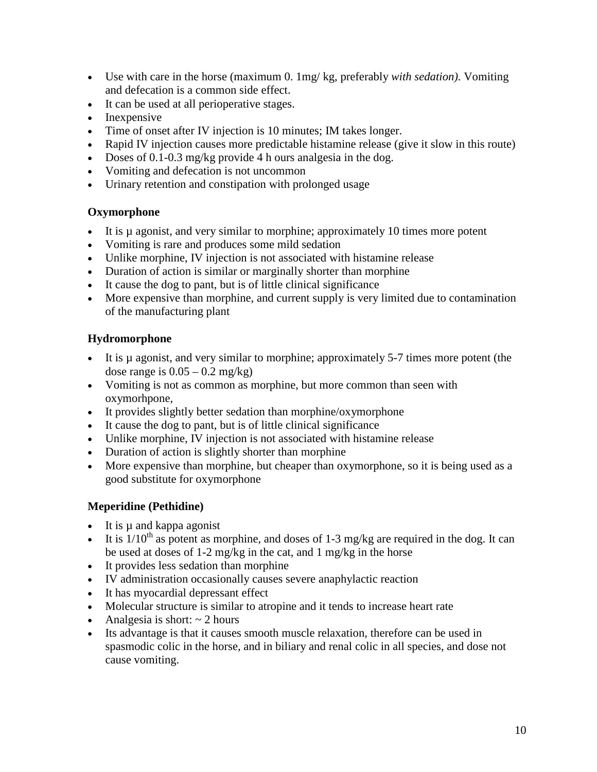- Use with care in the horse (maximum 0. 1mg/ kg, preferably *with sedation).* Vomiting and defecation is a common side effect.
- It can be used at all perioperative stages.
- Inexpensive
- Time of onset after IV injection is 10 minutes; IM takes longer.
- Rapid IV injection causes more predictable histamine release (give it slow in this route)
- Doses of 0.1-0.3 mg/kg provide 4 h ours analgesia in the dog.
- Vomiting and defecation is not uncommon
- Urinary retention and constipation with prolonged usage

#### **[Oxymorphone](http://www.cvm.okstate.edu/courses/vmed5412/lect05.asp#opioids)**

- It is u agonist, and very similar to [morphine;](http://www.cvm.okstate.edu/courses/vmed5412/lect05.asp#opioids) approximately 10 times more potent
- Vomiting is rare and produces some mild sedation
- Unlike morphine, IV injection is not associated with histamine release
- Duration of action is similar or marginally shorter than [morphine](http://www.cvm.okstate.edu/courses/vmed5412/lect05.asp#opioids)
- It cause the dog to pant, but is of little clinical significance
- More expensive than [morphine,](http://www.cvm.okstate.edu/courses/vmed5412/lect05.asp#opioids) and current supply is very limited due to contamination of the manufacturing plant

#### **Hydromorphone**

- It is  $\mu$  agonist, and very similar to [morphine;](http://www.cvm.okstate.edu/courses/vmed5412/lect05.asp#opioids) approximately 5-7 times more potent (the dose range is  $0.05 - 0.2$  mg/kg)
- Vomiting is not as common as morphine, but more common than seen with oxymorhpone,
- It provides slightly better sedation than morphine/oxymorphone
- It cause the dog to pant, but is of little clinical significance
- Unlike morphine, IV injection is not associated with histamine release
- Duration of action is slightly shorter than [morphine](http://www.cvm.okstate.edu/courses/vmed5412/lect05.asp#opioids)
- More expensive than [morphine,](http://www.cvm.okstate.edu/courses/vmed5412/lect05.asp#opioids) but cheaper than oxymorphone, so it is being used as a good substitute for oxymorphone

#### **[Meperidine](http://www.cvm.okstate.edu/courses/vmed5412/lect05.asp#opioids) (Pethidine)**

- It is  $\mu$  and kappa agonist
- It is  $1/10^{th}$  as potent as morphine, and doses of 1-3 mg/kg are required in the dog. It can be used at doses of 1-2 mg/kg in the cat, and 1 mg/kg in the horse
- It provides less sedation than [morphine](http://www.cvm.okstate.edu/courses/vmed5412/lect05.asp#opioids)
- IV administration occasionally causes severe anaphylactic reaction
- It has myocardial depressant effect
- Molecular structure is similar to atropine and it tends to increase heart rate
- Analgesia is short:  $\sim$  2 hours
- Its advantage is that it causes smooth muscle relaxation, therefore can be used in spasmodic colic in the horse, and in biliary and renal colic in all species, and dose not cause vomiting.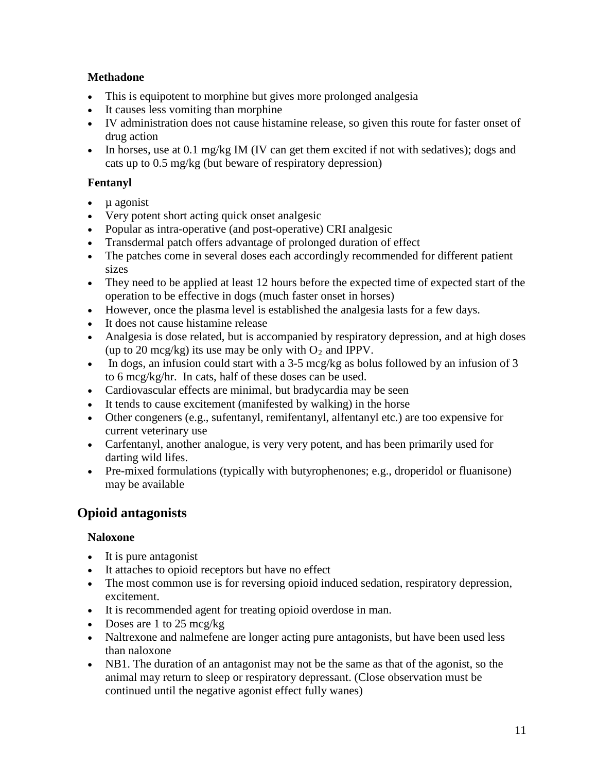#### **Methadone**

- This is equipotent to morphine but gives more prolonged analgesia
- It causes less vomiting than morphine
- IV administration does not cause histamine release, so given this route for faster onset of drug action
- In horses, use at 0.1 mg/kg IM (IV can get them excited if not with sedatives); dogs and cats up to 0.5 mg/kg (but beware of respiratory depression)

#### **[Fentanyl](http://www.cvm.okstate.edu/courses/vmed5412/lect05.asp#opioids)**

- µ agonist
- Very potent short acting quick onset analgesic
- Popular as intra-operative (and post-operative) CRI analgesic
- Transdermal patch offers advantage of prolonged duration of effect
- The patches come in several doses each accordingly recommended for different patient sizes
- They need to be applied at least 12 hours before the expected time of expected start of the operation to be effective in dogs (much faster onset in horses)
- However, once the plasma level is established the analgesia lasts for a few days.
- It does not cause histamine release
- Analgesia is dose related, but is accompanied by respiratory depression, and at high doses (up to 20 mcg/kg) its use may be only with  $O_2$  and IPPV.
- In dogs, an infusion could start with a 3-5 mcg/kg as bolus followed by an infusion of 3 to 6 mcg/kg/hr. In cats, half of these doses can be used.
- Cardiovascular effects are minimal, but bradycardia may be seen
- It tends to cause excitement (manifested by walking) in the horse
- Other congeners (e.g., sufentanyl, remifentanyl, alfentanyl etc.) are too expensive for current veterinary use
- Carfentanyl, another analogue, is very very potent, and has been primarily used for darting wild lifes.
- Pre-mixed formulations (typically with butyrophenones; e.g., droperidol or fluanisone) may be available

### **Opioid antagonists**

#### **Naloxone**

- It is pure antagonist
- It attaches to opioid receptors but have no effect
- The most common use is for reversing opioid induced sedation, respiratory depression, excitement.
- It is recommended agent for treating opioid overdose in man.
- Doses are 1 to 25 mcg/kg
- Naltrexone and nalmefene are longer acting pure antagonists, but have been used less than naloxone
- NB1. The duration of an antagonist may not be the same as that of the agonist, so the animal may return to sleep or respiratory depressant. (Close observation must be continued until the negative agonist effect fully wanes)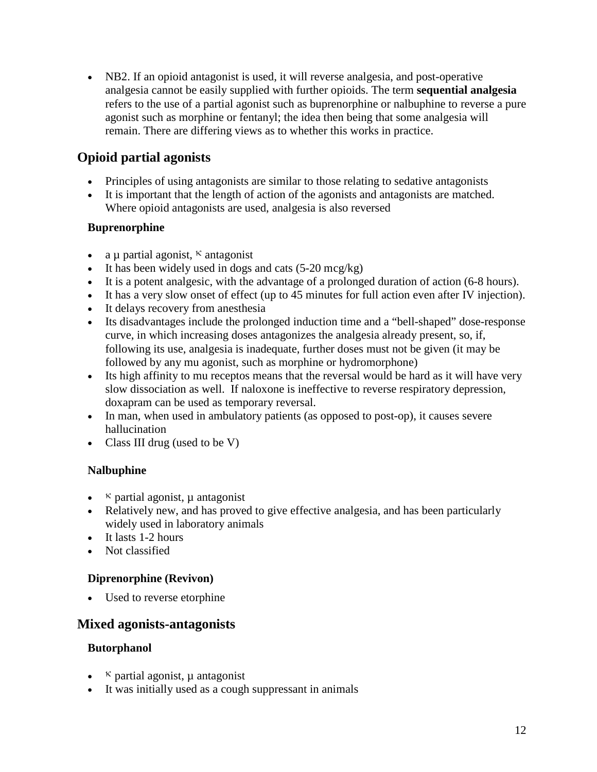• NB2. If an opioid antagonist is used, it will reverse analgesia, and post-operative analgesia cannot be easily supplied with further opioids. The term **sequential analgesia** refers to the use of a partial agonist such as buprenorphine or nalbuphine to reverse a pure agonist such as morphine or fentanyl; the idea then being that some analgesia will remain. There are differing views as to whether this works in practice.

### **Opioid partial agonists**

- Principles of using antagonists are similar to those relating to sedative antagonists
- It is important that the length of action of the agonists and antagonists are matched. Where opioid antagonists are used, analgesia is also reversed

#### **[Buprenorphine](http://www.cvm.okstate.edu/courses/vmed5412/lect05.asp#opioids)**

- a  $\mu$  partial agonist,  $\kappa$  antagonist
- It has been widely used in dogs and cats  $(5\n-20 \text{~mcg/kg})$
- It is a potent analgesic, with the advantage of a prolonged duration of action (6-8 hours).
- It has a very slow onset of effect (up to 45 minutes for full action even after IV injection).
- It delays recovery from anesthesia
- Its disadvantages include the prolonged induction time and a "bell-shaped" dose-response curve, in which increasing doses antagonizes the analgesia already present, so, if, following its use, analgesia is inadequate, further doses must not be given (it may be followed by any mu agonist, such as morphine or hydromorphone)
- Its high affinity to mu receptos means that the reversal would be hard as it will have very slow dissociation as well. If naloxone is ineffective to reverse respiratory depression, doxapram can be used as temporary reversal.
- In man, when used in ambulatory patients (as opposed to post-op), it causes severe hallucination
- Class III drug (used to be V)

#### **[Nalbuphine](http://www.cvm.okstate.edu/courses/vmed5412/lect05.asp#opioids)**

- $\kappa$  partial agonist,  $\mu$  antagonist
- Relatively new, and has proved to give effective analgesia, and has been particularly widely used in laboratory animals
- It lasts 1-2 hours
- Not classified

#### **Diprenorphine (Revivon)**

• Used to reverse etorphine

### **Mixed agonists-antagonists**

#### **[Butorphanol](http://www.cvm.okstate.edu/courses/vmed5412/lect05.asp#opioids)**

- $\kappa$  partial agonist,  $\mu$  antagonist
- It was initially used as a cough suppressant in animals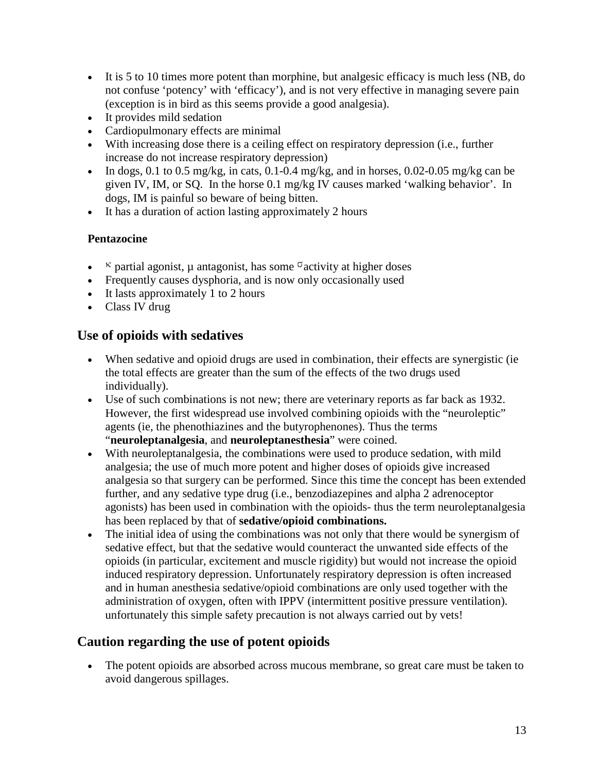- It is 5 to 10 times more potent than [morphine,](http://www.cvm.okstate.edu/courses/vmed5412/lect05.asp#opioids) but analgesic efficacy is much less (NB, do not confuse 'potency' with 'efficacy'), and is not very effective in managing severe pain (exception is in bird as this seems provide a good analgesia).
- It provides mild sedation
- Cardiopulmonary effects are minimal
- With increasing dose there is a ceiling effect on respiratory depression (i.e., further increase do not increase respiratory depression)
- In dogs, 0.1 to 0.5 mg/kg, in cats, 0.1-0.4 mg/kg, and in horses, 0.02-0.05 mg/kg can be given IV, IM, or SQ. In the horse 0.1 mg/kg IV causes marked 'walking behavior'. In dogs, IM is painful so beware of being bitten.
- It has a duration of action lasting approximately 2 hours

#### **Pentazocine**

- $\kappa$  partial agonist,  $\mu$  antagonist, has some  $\sigma$  activity at higher doses
- Frequently causes dysphoria, and is now only occasionally used
- It lasts approximately 1 to 2 hours
- Class IV drug

### **Use of opioids with sedatives**

- When sedative and opioid drugs are used in combination, their effects are synergistic (ie the total effects are greater than the sum of the effects of the two drugs used individually).
- Use of such combinations is not new; there are veterinary reports as far back as 1932. However, the first widespread use involved combining opioids with the "neuroleptic" agents (ie, the phenothiazines and the butyrophenones). Thus the terms "**neuroleptanalgesia**, and **neuroleptanesthesia**" were coined.
- With neuroleptanalgesia, the combinations were used to produce sedation, with mild analgesia; the use of much more potent and higher doses of opioids give increased analgesia so that surgery can be performed. Since this time the concept has been extended further, and any sedative type drug (i.e., benzodiazepines and alpha 2 adrenoceptor agonists) has been used in combination with the opioids- thus the term neuroleptanalgesia has been replaced by that of **sedative/opioid combinations.**
- The initial idea of using the combinations was not only that there would be synergism of sedative effect, but that the sedative would counteract the unwanted side effects of the opioids (in particular, excitement and muscle rigidity) but would not increase the opioid induced respiratory depression. Unfortunately respiratory depression is often increased and in human anesthesia sedative/opioid combinations are only used together with the administration of oxygen, often with IPPV (intermittent positive pressure ventilation). unfortunately this simple safety precaution is not always carried out by vets!

### **Caution regarding the use of potent opioids**

• The potent opioids are absorbed across mucous membrane, so great care must be taken to avoid dangerous spillages.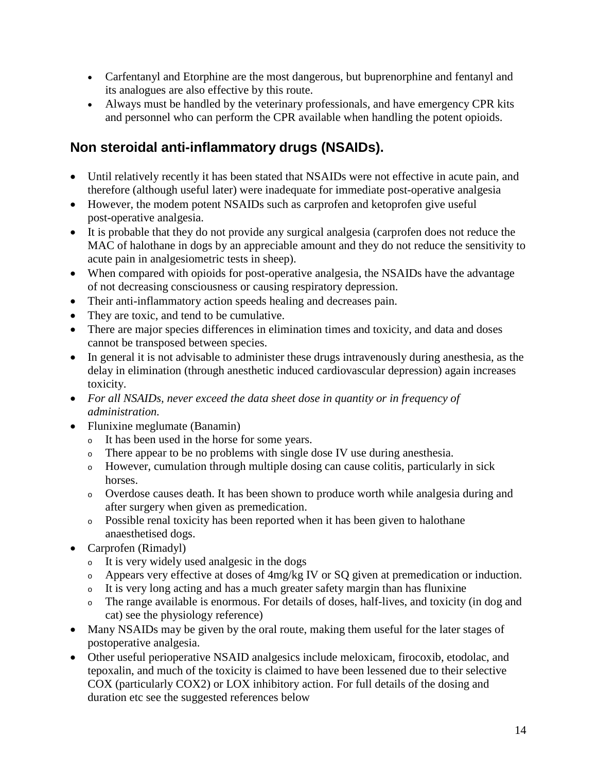- Carfentanyl and Etorphine are the most dangerous, but buprenorphine and fentanyl and its analogues are also effective by this route.
- Always must be handled by the veterinary professionals, and have emergency CPR kits and personnel who can perform the CPR available when handling the potent opioids.

## **Non steroidal anti-inflammatory drugs (NSAIDs).**

- Until relatively recently it has been stated that NSAIDs were not effective in acute pain, and therefore (although useful later) were inadequate for immediate post-operative analgesia
- However, the modem potent NSAIDs such as carprofen and ketoprofen give useful post-operative analgesia.
- It is probable that they do not provide any surgical analgesia (carprofen does not reduce the MAC of halothane in dogs by an appreciable amount and they do not reduce the sensitivity to acute pain in analgesiometric tests in sheep).
- When compared with opioids for post-operative analgesia, the NSAIDs have the advantage of not decreasing consciousness or causing respiratory depression.
- Their anti-inflammatory action speeds healing and decreases pain.
- They are toxic, and tend to be cumulative.
- There are major species differences in elimination times and toxicity, and data and doses cannot be transposed between species.
- In general it is not advisable to administer these drugs intravenously during anesthesia, as the delay in elimination (through anesthetic induced cardiovascular depression) again increases toxicity.
- *For all NSAIDs, never exceed the data sheet dose in quantity or in frequency of administration.*
- Flunixine meglumate (Banamin)
	- <sup>o</sup> It has been used in the horse for some years.
	- <sup>o</sup> There appear to be no problems with single dose IV use during anesthesia.
	- <sup>o</sup> However, cumulation through multiple dosing can cause colitis, particularly in sick horses.
	- <sup>o</sup> Overdose causes death. It has been shown to produce worth while analgesia during and after surgery when given as premedication.
	- <sup>o</sup> Possible renal toxicity has been reported when it has been given to halothane anaesthetised dogs.
- Carprofen (Rimadyl)
	- <sup>o</sup> It is very widely used analgesic in the dogs
	- <sup>o</sup> Appears very effective at doses of 4mg/kg IV or SQ given at premedication or induction.
	- <sup>o</sup> It is very long acting and has a much greater safety margin than has flunixine
	- <sup>o</sup> The range available is enormous. For details of doses, half-lives, and toxicity (in dog and cat) see the physiology reference)
- Many NSAIDs may be given by the oral route, making them useful for the later stages of postoperative analgesia.
- Other useful perioperative NSAID analgesics include meloxicam, firocoxib, etodolac, and tepoxalin, and much of the toxicity is claimed to have been lessened due to their selective COX (particularly COX2) or LOX inhibitory action. For full details of the dosing and duration etc see the suggested references below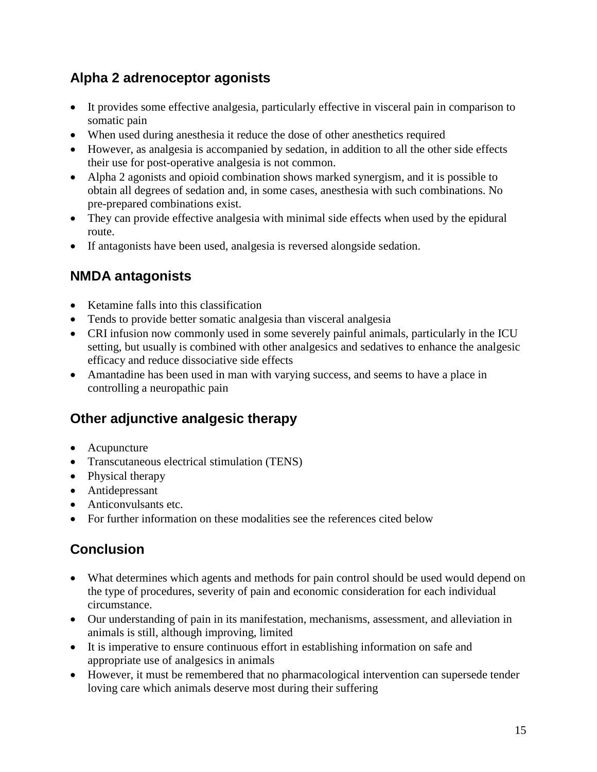## **Alpha 2 adrenoceptor agonists**

- It provides some effective analgesia, particularly effective in visceral pain in comparison to somatic pain
- When used during anesthesia it reduce the dose of other anesthetics required
- However, as analgesia is accompanied by sedation, in addition to all the other side effects their use for post-operative analgesia is not common.
- Alpha 2 agonists and opioid combination shows marked synergism, and it is possible to obtain all degrees of sedation and, in some cases, anesthesia with such combinations. No pre-prepared combinations exist.
- They can provide effective analgesia with minimal side effects when used by the epidural route.
- If antagonists have been used, analgesia is reversed alongside sedation.

### **NMDA antagonists**

- Ketamine falls into this classification
- Tends to provide better somatic analgesia than visceral analgesia
- CRI infusion now commonly used in some severely painful animals, particularly in the ICU setting, but usually is combined with other analgesics and sedatives to enhance the analgesic efficacy and reduce dissociative side effects
- Amantadine has been used in man with varying success, and seems to have a place in controlling a neuropathic pain

### **Other adjunctive analgesic therapy**

- Acupuncture
- Transcutaneous electrical stimulation (TENS)
- Physical therapy
- Antidepressant
- Anticonvulsants etc.
- For further information on these modalities see the references cited below

### **Conclusion**

- What determines which agents and methods for pain control should be used would depend on the type of procedures, severity of pain and economic consideration for each individual circumstance.
- Our understanding of pain in its manifestation, mechanisms, assessment, and alleviation in animals is still, although improving, limited
- It is imperative to ensure continuous effort in establishing information on safe and appropriate use of analgesics in animals
- However, it must be remembered that no pharmacological intervention can supersede tender loving care which animals deserve most during their suffering